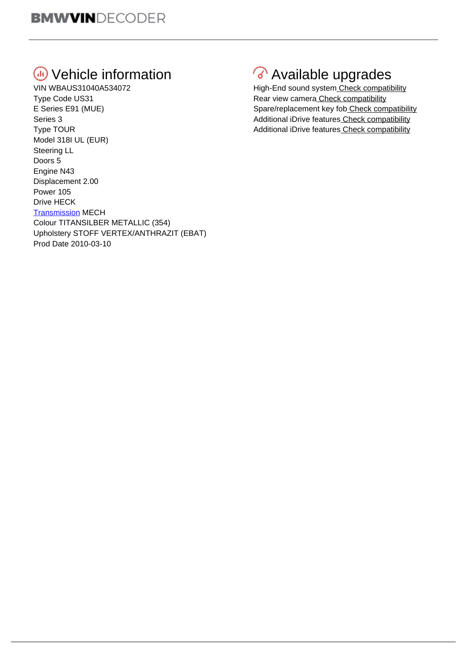## **Wehicle information**

VIN WBAUS31040A534072 Type Code US31 E Series E91 (MUE) Series 3 Type TOUR Model 318I UL (EUR) Steering LL Doors 5 Engine N43 Displacement 2.00 Power 105 Drive HECK **[Transmission](http://i.viglink.com/?key=e320898b622f10aa943271e31751eea2&insertId=07b4208cec16c597&type=L&exp=60%3ACI1C55A%3A14&libId=jovkxsot0102pmnz000DAl2h5ixcj&loc=https%3A%2F%2Fdecoder.bvzine.com%2F&v=1&iid=07b4208cec16c597&out=http%3A%2F%2Fwww.eurocarparts.com%2Fcar-transmission&ref=https%3A%2F%2Fwww.bvzine.com%2F&title=Free%20Online%20BMW%20VIN%20Decoder%2C%20lookup%2C%20check%20-%20BVzine.com&txt=%3Cspan%3ETransmission%3C%2Fspan%3E) MECH** Colour TITANSILBER METALLIC (354) Upholstery STOFF VERTEX/ANTHRAZIT (EBAT) Prod Date 2010-03-10

## Available upgrades

High-End sound syste[m Check compatibility](https://www.bimmer-tech.net/audio-amplifier-for-bmw) Rear view camera [Check compatibility](https://www.bimmer-tech.net/bmw-rear-view-cameras) Spare/replacement key fob [Check compatibility](https://store.bimmernav.com/collections/bmw-keys) Additional iDrive feature[s Check compatibility](https://www.bimmer-tech.net/bmw-idrive-coding) Additional iDrive feature[s Check compatibility](https://www.bimmer-tech.net/bmw-idrive-coding)